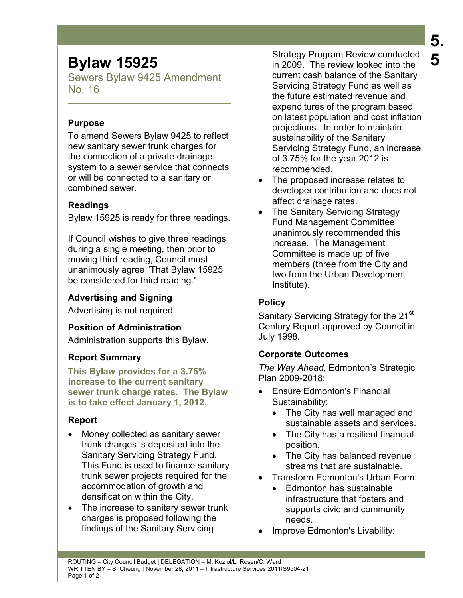# **Bylaw 15925**

Sewers Bylaw 9425 Amendment No. 16

# **Purpose**

To amend Sewers Bylaw 9425 to reflect new sanitary sewer trunk charges for the connection of a private drainage system to a sewer service that connects or will be connected to a sanitary or combined sewer.

# **Readings**

Bylaw 15925 is ready for three readings.

If Council wishes to give three readings during a single meeting, then prior to moving third reading, Council must unanimously agree "That Bylaw 15925 be considered for third reading."

# **Advertising and Signing**

Advertising is not required.

# **Position of Administration**

Administration supports this Bylaw.

# **Report Summary**

**This Bylaw provides for a 3.75% increase to the current sanitary sewer trunk charge rates. The Bylaw is to take effect January 1, 2012.** 

# **Report**

- Money collected as sanitary sewer trunk charges is deposited into the Sanitary Servicing Strategy Fund. This Fund is used to finance sanitary trunk sewer projects required for the accommodation of growth and densification within the City.
- The increase to sanitary sewer trunk charges is proposed following the findings of the Sanitary Servicing

Strategy Program Review conducted in 2009. The review looked into the current cash balance of the Sanitary Servicing Strategy Fund as well as the future estimated revenue and expenditures of the program based on latest population and cost inflation projections. In order to maintain sustainability of the Sanitary Servicing Strategy Fund, an increase of 3.75% for the year 2012 is recommended.

- The proposed increase relates to developer contribution and does not affect drainage rates.
- The Sanitary Servicing Strategy Fund Management Committee unanimously recommended this increase. The Management Committee is made up of five members (three from the City and two from the Urban Development Institute).

# **Policy**

Sanitary Servicing Strategy for the 21<sup>st</sup> Century Report approved by Council in July 1998.

# **Corporate Outcomes**

*The Way Ahead*, Edmonton's Strategic Plan 2009-2018:

- Ensure Edmonton's Financial Sustainability:
	- The City has well managed and sustainable assets and services.
	- The City has a resilient financial position.
	- The City has balanced revenue streams that are sustainable.
- Transform Edmonton's Urban Form:
	- Edmonton has sustainable infrastructure that fosters and supports civic and community needs.
- Improve Edmonton's Livability: